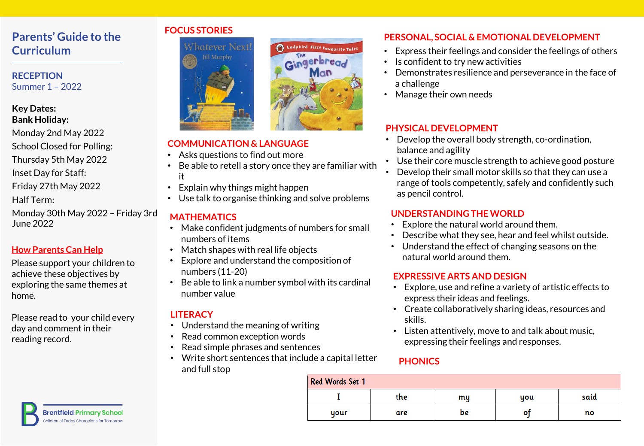# **Parents' Guide to the Curriculum**

**RECEPTION** Summer 1 – 2022

#### **Key Dates: Bank Holiday:**

- Monday 2nd May 2022
- School Closed for Polling:
- Thursday 5th May 2022
- Inset Day for Staff:
- Friday 27th May 2022
- Half Term:
- Monday 30th May 2022 Friday 3rd June 2022

## **How Parents Can Help**

Please support your children to achieve these objectives by exploring the same themes at home.

Please read to your child every day and comment in their reading record.

#### **FOCUS STORIES**



#### **COMMUNICATION & LANGUAGE**

- Asks questions to find out more
- Be able to retell a story once they are familiar with it

Ladybird First Favourite Tales

Gingerbread

- Explain why things might happen
- Use talk to organise thinking and solve problems

## **MATHEMATICS**

- Make confident judgments of numbers for small numbers of items
- Match shapes with real life objects
- Explore and understand the composition of numbers (11-20)
- Be able to link a number symbol with its cardinal number value

## **LITERACY**

- Understand the meaning of writing
- Read common exception words
- Read simple phrases and sentences
- Write short sentences that include a capital letter and full stop

### **PERSONAL, SOCIAL & EMOTIONAL DEVELOPMENT**

- Express their feelings and consider the feelings of others
- Is confident to try new activities
- Demonstrates resilience and perseverance in the face of a challenge
- Manage their own needs

### **PHYSICAL DEVELOPMENT**

- Develop the overall body strength, co-ordination, balance and agility
- Use their core muscle strength to achieve good posture
- Develop their small motor skills so that they can use a range of tools competently, safely and confidently such as pencil control.

### **UNDERSTANDING THE WORLD**

- Explore the natural world around them.
- Describe what they see, hear and feel whilst outside.
- Understand the effect of changing seasons on the natural world around them.

#### **EXPRESSIVE ARTS AND DESIGN**

- Explore, use and refine a variety of artistic effects to express their ideas and feelings.
- Create collaboratively sharing ideas, resources and skills.
- Listen attentively, move to and talk about music, expressing their feelings and responses.

#### **PHONICS**

| Red Words Set 1 |     |    |     |      |  |  |  |  |
|-----------------|-----|----|-----|------|--|--|--|--|
|                 | the | mų | you | said |  |  |  |  |
| your            | are | be | o   | no   |  |  |  |  |

**Brentfield Primary School Children of Today Champions for Tomorrov** 

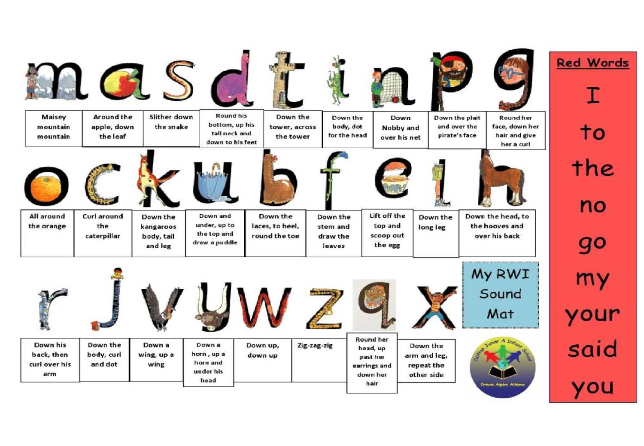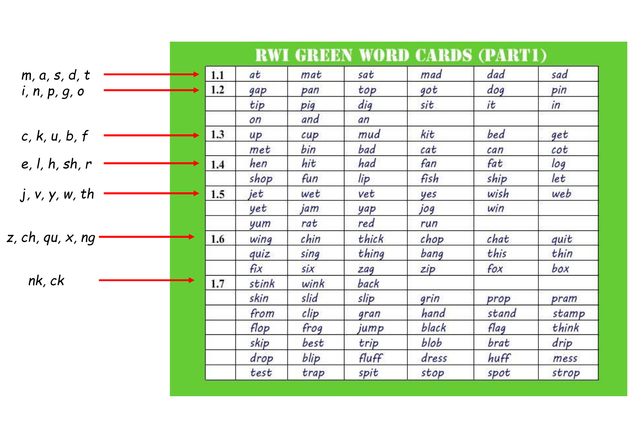|                  |     |       |      |       | <b>RWI GREEN WORD CARDS (PARTI)</b> |       |       |
|------------------|-----|-------|------|-------|-------------------------------------|-------|-------|
| m, a, s, d, t    | 1.1 | at    | mat  | sat   | mad                                 | dad   | sad   |
| i, n, p, g, o    | 1.2 | gap   | pan  | top   | got                                 | dog   | pin   |
|                  |     | tip   | pig  | dig   | sit                                 | it    | in    |
|                  |     | on    | and  | an    |                                     |       |       |
| c, k, u, b, f    | 1.3 | up    | cupp | mud   | kit                                 | bed   | get   |
|                  |     | met   | bin  | bad   | cat                                 | can   | cot   |
| e, l, h, sh, r   | 1.4 | hen   | hit  | had   | fan                                 | fat   | log   |
|                  |     | shop  | fun  | lip   | fish                                | ship  | let   |
| j, v, y, w, th   | 1.5 | jet   | wet  | vet   | yes                                 | wish  | web   |
|                  |     | yet   | jam  | yap   | jog                                 | win   |       |
|                  |     | yum   | rat  | red   | run                                 |       |       |
| z, ch, qu, x, ng | 1.6 | wing  | chin | thick | chop                                | chat  | quit  |
|                  |     | quiz  | sing | thing | bang                                | this  | thin  |
|                  |     | fix   | six  | zag   | zip                                 | fox   | box   |
| nk, ck           | 1.7 | stink | wink | back  |                                     |       |       |
|                  |     | skin  | slid | slip  | grin                                | prop  | pram  |
|                  |     | from  | clip | gran  | hand                                | stand | stamp |
|                  |     | flop  | frog | jump  | black                               | flag  | think |
|                  |     | skip  | best | trip  | blob                                | brat  | drip  |
|                  |     | drop  | blip | fluff | dress                               | huff  | mess  |
|                  |     | test  | trap | spit  | stop                                | spot  | strop |